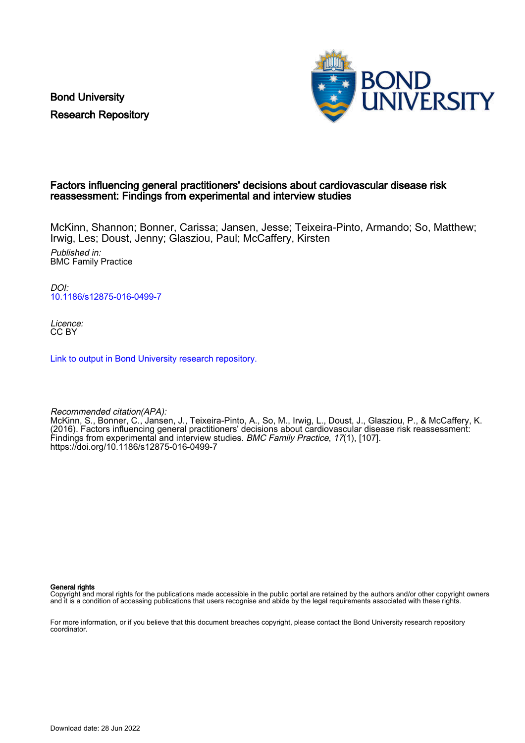Bond University Research Repository



## Factors influencing general practitioners' decisions about cardiovascular disease risk reassessment: Findings from experimental and interview studies

McKinn, Shannon; Bonner, Carissa; Jansen, Jesse; Teixeira-Pinto, Armando; So, Matthew; Irwig, Les; Doust, Jenny; Glasziou, Paul; McCaffery, Kirsten

Published in: BMC Family Practice

DOI: [10.1186/s12875-016-0499-7](https://doi.org/10.1186/s12875-016-0499-7)

Licence: CC BY

[Link to output in Bond University research repository.](https://research.bond.edu.au/en/publications/ad84d6bb-1a72-4728-8e5e-19077ce8fa3c)

Recommended citation(APA): McKinn, S., Bonner, C., Jansen, J., Teixeira-Pinto, A., So, M., Irwig, L., Doust, J., Glasziou, P., & McCaffery, K. (2016). Factors influencing general practitioners' decisions about cardiovascular disease risk reassessment: Findings from experimental and interview studies. BMC Family Practice, 17(1), [107]. <https://doi.org/10.1186/s12875-016-0499-7>

General rights

Copyright and moral rights for the publications made accessible in the public portal are retained by the authors and/or other copyright owners and it is a condition of accessing publications that users recognise and abide by the legal requirements associated with these rights.

For more information, or if you believe that this document breaches copyright, please contact the Bond University research repository coordinator.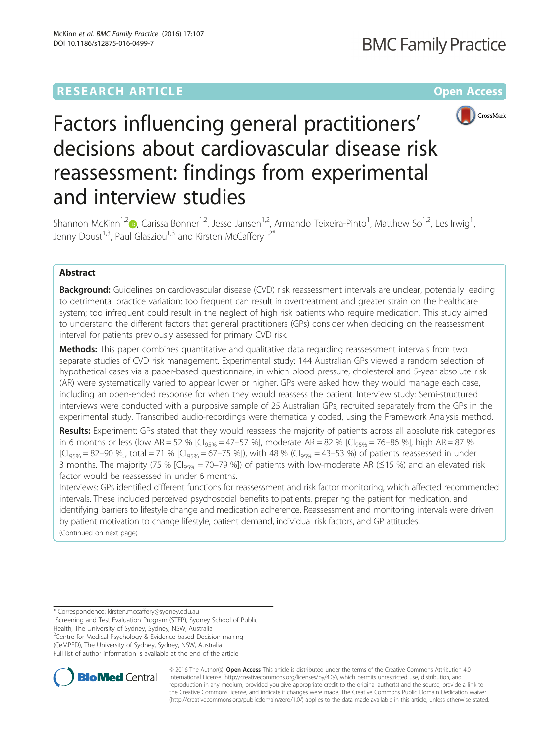## **RESEARCH ARTICLE Example 2014 12:30 The Contract of Contract ACCESS**



# Factors influencing general practitioners' decisions about cardiovascular disease risk reassessment: findings from experimental and interview studies

Shannon McKinn<sup>1[,](http://orcid.org/0000-0001-6384-1745)2</sup> (**p**, Carissa Bonner<sup>1,2</sup>, Jesse Jansen<sup>1,2</sup>, Armando Teixeira-Pinto<sup>1</sup>, Matthew So<sup>1,2</sup>, Les Irwig<sup>1</sup> , Jenny Doust<sup>1,3</sup>, Paul Glasziou<sup>1,3</sup> and Kirsten McCaffery<sup>1,2\*</sup>

## Abstract

**Background:** Guidelines on cardiovascular disease (CVD) risk reassessment intervals are unclear, potentially leading to detrimental practice variation: too frequent can result in overtreatment and greater strain on the healthcare system; too infrequent could result in the neglect of high risk patients who require medication. This study aimed to understand the different factors that general practitioners (GPs) consider when deciding on the reassessment interval for patients previously assessed for primary CVD risk.

Methods: This paper combines quantitative and qualitative data regarding reassessment intervals from two separate studies of CVD risk management. Experimental study: 144 Australian GPs viewed a random selection of hypothetical cases via a paper-based questionnaire, in which blood pressure, cholesterol and 5-year absolute risk (AR) were systematically varied to appear lower or higher. GPs were asked how they would manage each case, including an open-ended response for when they would reassess the patient. Interview study: Semi-structured interviews were conducted with a purposive sample of 25 Australian GPs, recruited separately from the GPs in the experimental study. Transcribed audio-recordings were thematically coded, using the Framework Analysis method.

Results: Experiment: GPs stated that they would reassess the majority of patients across all absolute risk categories in 6 months or less (low AR = 52 % [Cl<sub>95%</sub> = 47–57 %], moderate AR = 82 % [Cl<sub>95%</sub> = 76–86 %], high AR = 87 %  $[C]_{95\%} = 82-90$  %], total = 71 %  $[C]_{95\%} = 67-75$  %]), with 48 % (Cl<sub>95%</sub> = 43-53 %) of patients reassessed in under 3 months. The majority (75 % [CI95% = 70–79 %]) of patients with low-moderate AR (≤15 %) and an elevated risk factor would be reassessed in under 6 months.

Interviews: GPs identified different functions for reassessment and risk factor monitoring, which affected recommended intervals. These included perceived psychosocial benefits to patients, preparing the patient for medication, and identifying barriers to lifestyle change and medication adherence. Reassessment and monitoring intervals were driven by patient motivation to change lifestyle, patient demand, individual risk factors, and GP attitudes.

(Continued on next page)

<sup>1</sup>Screening and Test Evaluation Program (STEP), Sydney School of Public

Health, The University of Sydney, Sydney, NSW, Australia

<sup>2</sup>Centre for Medical Psychology & Evidence-based Decision-making

(CeMPED), The University of Sydney, Sydney, NSW, Australia

Full list of author information is available at the end of the article



© 2016 The Author(s). Open Access This article is distributed under the terms of the Creative Commons Attribution 4.0 International License [\(http://creativecommons.org/licenses/by/4.0/](http://creativecommons.org/licenses/by/4.0/)), which permits unrestricted use, distribution, and reproduction in any medium, provided you give appropriate credit to the original author(s) and the source, provide a link to the Creative Commons license, and indicate if changes were made. The Creative Commons Public Domain Dedication waiver [\(http://creativecommons.org/publicdomain/zero/1.0/](http://creativecommons.org/publicdomain/zero/1.0/)) applies to the data made available in this article, unless otherwise stated.

<sup>\*</sup> Correspondence: [kirsten.mccaffery@sydney.edu.au](mailto:kirsten.mccaffery@sydney.edu.au) <sup>1</sup>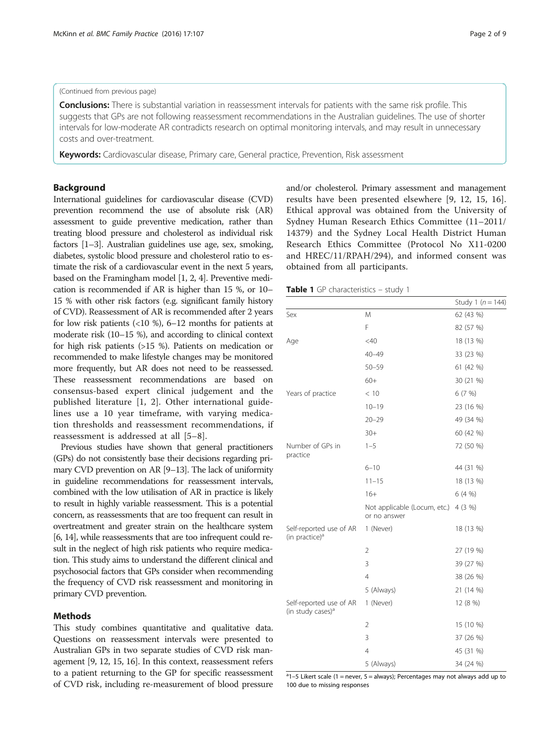#### <span id="page-2-0"></span>(Continued from previous page)

**Conclusions:** There is substantial variation in reassessment intervals for patients with the same risk profile. This suggests that GPs are not following reassessment recommendations in the Australian guidelines. The use of shorter intervals for low-moderate AR contradicts research on optimal monitoring intervals, and may result in unnecessary costs and over-treatment.

Keywords: Cardiovascular disease, Primary care, General practice, Prevention, Risk assessment

#### Background

International guidelines for cardiovascular disease (CVD) prevention recommend the use of absolute risk (AR) assessment to guide preventive medication, rather than treating blood pressure and cholesterol as individual risk factors [[1](#page-9-0)–[3\]](#page-9-0). Australian guidelines use age, sex, smoking, diabetes, systolic blood pressure and cholesterol ratio to estimate the risk of a cardiovascular event in the next 5 years, based on the Framingham model [[1](#page-9-0), [2, 4](#page-9-0)]. Preventive medication is recommended if AR is higher than 15 %, or 10– 15 % with other risk factors (e.g. significant family history of CVD). Reassessment of AR is recommended after 2 years for low risk patients  $\left($  < 10 %), 6–12 months for patients at moderate risk (10–15 %), and according to clinical context for high risk patients (>15 %). Patients on medication or recommended to make lifestyle changes may be monitored more frequently, but AR does not need to be reassessed. These reassessment recommendations are based on consensus-based expert clinical judgement and the published literature [\[1](#page-9-0), [2\]](#page-9-0). Other international guidelines use a 10 year timeframe, with varying medication thresholds and reassessment recommendations, if reassessment is addressed at all [[5](#page-9-0)–[8\]](#page-9-0).

Previous studies have shown that general practitioners (GPs) do not consistently base their decisions regarding primary CVD prevention on AR [\[9](#page-9-0)–[13](#page-9-0)]. The lack of uniformity in guideline recommendations for reassessment intervals, combined with the low utilisation of AR in practice is likely to result in highly variable reassessment. This is a potential concern, as reassessments that are too frequent can result in overtreatment and greater strain on the healthcare system [[6](#page-9-0), [14](#page-9-0)], while reassessments that are too infrequent could result in the neglect of high risk patients who require medication. This study aims to understand the different clinical and psychosocial factors that GPs consider when recommending the frequency of CVD risk reassessment and monitoring in primary CVD prevention.

## Methods

This study combines quantitative and qualitative data. Questions on reassessment intervals were presented to Australian GPs in two separate studies of CVD risk management [\[9, 12](#page-9-0), [15, 16\]](#page-9-0). In this context, reassessment refers to a patient returning to the GP for specific reassessment of CVD risk, including re-measurement of blood pressure

and/or cholesterol. Primary assessment and management results have been presented elsewhere [[9, 12, 15](#page-9-0), [16](#page-9-0)]. Ethical approval was obtained from the University of Sydney Human Research Ethics Committee (11–2011/ 14379) and the Sydney Local Health District Human Research Ethics Committee (Protocol No X11-0200 and HREC/11/RPAH/294), and informed consent was obtained from all participants.

Table 1 GP characteristics - study 1

|                                                          |                                              | Study 1 ( $n = 144$ ) |
|----------------------------------------------------------|----------------------------------------------|-----------------------|
| Sex                                                      | M                                            | 62 (43 %)             |
|                                                          | F                                            | 82 (57 %)             |
| Age                                                      | $<$ 40                                       | 18 (13 %)             |
|                                                          | $40 - 49$                                    | 33 (23 %)             |
|                                                          | $50 - 59$                                    | 61 (42 %)             |
|                                                          | $60+$                                        | 30 (21 %)             |
| Years of practice                                        | < 10                                         | 6(7%)                 |
|                                                          | $10 - 19$                                    | 23 (16 %)             |
|                                                          | $20 - 29$                                    | 49 (34 %)             |
|                                                          | $30+$                                        | 60 (42 %)             |
| Number of GPs in<br>practice                             | $1 - 5$                                      | 72 (50 %)             |
|                                                          | $6 - 10$                                     | 44 (31 %)             |
|                                                          | $11 - 15$                                    | 18 (13 %)             |
|                                                          | $16+$                                        | 6(4%)                 |
|                                                          | Not applicable (Locum, etc.)<br>or no answer | 4(3%)                 |
| Self-reported use of AR<br>(in practice) <sup>a</sup>    | 1 (Never)                                    | 18 (13 %)             |
|                                                          | $\overline{2}$                               | 27 (19 %)             |
|                                                          | 3                                            | 39 (27 %)             |
|                                                          | $\overline{4}$                               | 38 (26 %)             |
|                                                          | 5 (Always)                                   | 21 (14 %)             |
| Self-reported use of AR<br>(in study cases) <sup>a</sup> | 1 (Never)                                    | 12 (8 %)              |
|                                                          | $\overline{2}$                               | 15 (10 %)             |
|                                                          | 3                                            | 37 (26 %)             |
|                                                          | $\overline{4}$                               | 45 (31 %)             |
|                                                          | 5 (Always)                                   | 34 (24 %)             |

 $a$ 1–5 Likert scale (1 = never, 5 = always); Percentages may not always add up to 100 due to missing responses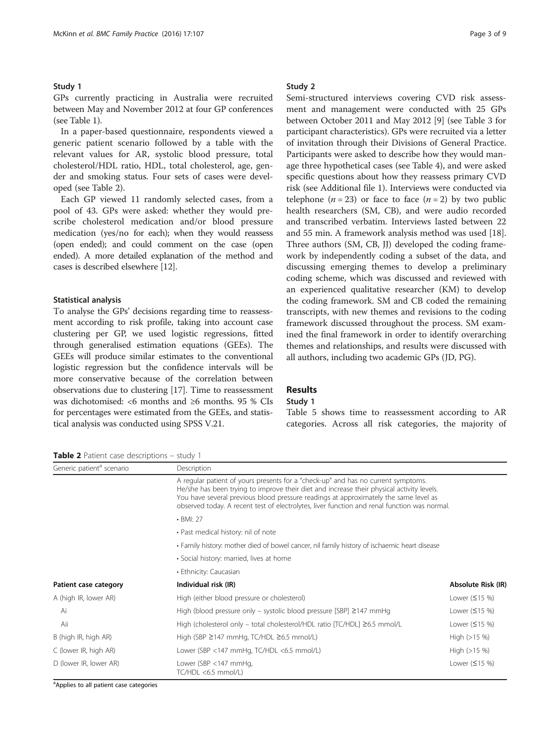## Study 1

GPs currently practicing in Australia were recruited between May and November 2012 at four GP conferences (see Table [1](#page-2-0)).

In a paper-based questionnaire, respondents viewed a generic patient scenario followed by a table with the relevant values for AR, systolic blood pressure, total cholesterol/HDL ratio, HDL, total cholesterol, age, gender and smoking status. Four sets of cases were developed (see Table 2).

Each GP viewed 11 randomly selected cases, from a pool of 43. GPs were asked: whether they would prescribe cholesterol medication and/or blood pressure medication (yes/no for each); when they would reassess (open ended); and could comment on the case (open ended). A more detailed explanation of the method and cases is described elsewhere [[12](#page-9-0)].

#### Statistical analysis

To analyse the GPs' decisions regarding time to reassessment according to risk profile, taking into account case clustering per GP, we used logistic regressions, fitted through generalised estimation equations (GEEs). The GEEs will produce similar estimates to the conventional logistic regression but the confidence intervals will be more conservative because of the correlation between observations due to clustering [[17](#page-9-0)]. Time to reassessment was dichotomised: <6 months and ≥6 months. 95 % CIs for percentages were estimated from the GEEs, and statistical analysis was conducted using SPSS V.21.

Table 2 Patient case descriptions - study 1

#### Study 2

Semi-structured interviews covering CVD risk assessment and management were conducted with 25 GPs between October 2011 and May 2012 [[9\]](#page-9-0) (see Table [3](#page-4-0) for participant characteristics). GPs were recruited via a letter of invitation through their Divisions of General Practice. Participants were asked to describe how they would manage three hypothetical cases (see Table [4](#page-4-0)), and were asked specific questions about how they reassess primary CVD risk (see Additional file [1\)](#page-8-0). Interviews were conducted via telephone  $(n = 23)$  or face to face  $(n = 2)$  by two public health researchers (SM, CB), and were audio recorded and transcribed verbatim. Interviews lasted between 22 and 55 min. A framework analysis method was used [[18](#page-9-0)]. Three authors (SM, CB, JJ) developed the coding framework by independently coding a subset of the data, and discussing emerging themes to develop a preliminary coding scheme, which was discussed and reviewed with an experienced qualitative researcher (KM) to develop the coding framework. SM and CB coded the remaining transcripts, with new themes and revisions to the coding framework discussed throughout the process. SM examined the final framework in order to identify overarching themes and relationships, and results were discussed with all authors, including two academic GPs (JD, PG).

## Results

## Study 1

Table [5](#page-4-0) shows time to reassessment according to AR categories. Across all risk categories, the majority of

| Generic patient <sup>a</sup> scenario | Description                                                                                                                                                                                                                                                                                                                                                            |                    |  |  |  |  |
|---------------------------------------|------------------------------------------------------------------------------------------------------------------------------------------------------------------------------------------------------------------------------------------------------------------------------------------------------------------------------------------------------------------------|--------------------|--|--|--|--|
|                                       | A regular patient of yours presents for a "check-up" and has no current symptoms.<br>He/she has been trying to improve their diet and increase their physical activity levels.<br>You have several previous blood pressure readings at approximately the same level as<br>observed today. A recent test of electrolytes, liver function and renal function was normal. |                    |  |  |  |  |
|                                       | $\cdot$ BMI: 27                                                                                                                                                                                                                                                                                                                                                        |                    |  |  |  |  |
|                                       | • Past medical history: nil of note                                                                                                                                                                                                                                                                                                                                    |                    |  |  |  |  |
|                                       | • Family history: mother died of bowel cancer, nil family history of ischaemic heart disease                                                                                                                                                                                                                                                                           |                    |  |  |  |  |
|                                       | • Social history: married, lives at home                                                                                                                                                                                                                                                                                                                               |                    |  |  |  |  |
|                                       | • Ethnicity: Caucasian                                                                                                                                                                                                                                                                                                                                                 |                    |  |  |  |  |
| Patient case category                 | Individual risk (IR)                                                                                                                                                                                                                                                                                                                                                   | Absolute Risk (IR) |  |  |  |  |
| A (high IR, lower AR)                 | High (either blood pressure or cholesterol)                                                                                                                                                                                                                                                                                                                            | Lower $(515%)$     |  |  |  |  |
| Ai                                    | High (blood pressure only – systolic blood pressure [SBP] ≥147 mmHg                                                                                                                                                                                                                                                                                                    | Lower $(515%)$     |  |  |  |  |
| Aii                                   | High (cholesterol only – total cholesterol/HDL ratio [TC/HDL] ≥6.5 mmol/L                                                                                                                                                                                                                                                                                              | Lower $(515%)$     |  |  |  |  |
| B (high IR, high AR)                  | High (SBP ≥147 mmHg, TC/HDL ≥6.5 mmol/L)                                                                                                                                                                                                                                                                                                                               | High $(>15 \%)$    |  |  |  |  |
| C (lower IR, high AR)                 | Lower (SBP <147 mmHg, TC/HDL <6.5 mmol/L)                                                                                                                                                                                                                                                                                                                              | High $(>15 \%)$    |  |  |  |  |
| D (lower IR, lower AR)                | Lower (SBP <147 mmHg,<br>$TC/HDL < 6.5$ mmol/L)                                                                                                                                                                                                                                                                                                                        | Lower $(515%)$     |  |  |  |  |

<sup>a</sup>Applies to all patient case categories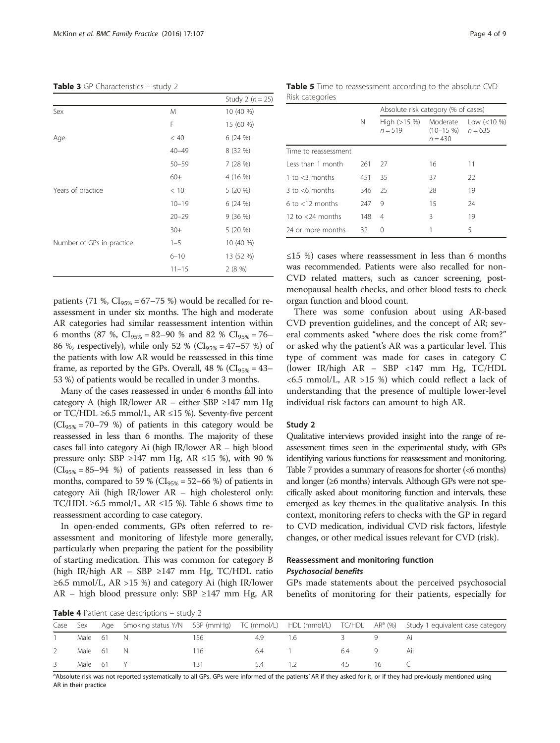<span id="page-4-0"></span>Table 3 GP Characteristics - study 2

|                           |           | Study 2 ( $n = 25$ ) |
|---------------------------|-----------|----------------------|
| Sex                       | M         | 10 (40 %)            |
|                           | F         | 15 (60 %)            |
| Age                       | < 40      | 6(24%)               |
|                           | $40 - 49$ | 8 (32 %)             |
|                           | $50 - 59$ | 7(28%)               |
|                           | $60+$     | 4 (16 %)             |
| Years of practice         | < 10      | 5 (20 %)             |
|                           | $10 - 19$ | 6(24%)               |
|                           | $20 - 29$ | 9(36%)               |
|                           | $30+$     | 5 (20 %)             |
| Number of GPs in practice | $1 - 5$   | 10 (40 %)            |
|                           | $6 - 10$  | 13 (52 %)            |
|                           | $11 - 15$ | 2(8%)                |

patients (71 %,  $CI_{95\%}$  = 67–75 %) would be recalled for reassessment in under six months. The high and moderate AR categories had similar reassessment intention within 6 months (87 %,  $CI_{95\%} = 82-90$  % and 82 %  $CI_{95\%} = 76-$ 86 %, respectively), while only 52 % ( $CI_{95\%} = 47-57$  %) of the patients with low AR would be reassessed in this time frame, as reported by the GPs. Overall, 48 % ( $CI_{95\%} = 43-$ 53 %) of patients would be recalled in under 3 months.

Many of the cases reassessed in under 6 months fall into category A (high IR/lower AR – either SBP  $\geq$ 147 mm Hg or TC/HDL ≥6.5 mmol/L, AR ≤15 %). Seventy-five percent  $(Cl_{95\%} = 70-79$  %) of patients in this category would be reassessed in less than 6 months. The majority of these cases fall into category Ai (high IR/lower AR – high blood pressure only: SBP ≥147 mm Hg, AR ≤15 %), with 90 %  $(Cl<sub>95%</sub> = 85–94 %)$  of patients reassessed in less than 6 months, compared to 59 % ( $CI<sub>95%</sub> = 52–66$  %) of patients in category Aii (high IR/lower AR – high cholesterol only: TC/HDL ≥6.5 mmol/L, AR ≤15 %). Table [6](#page-5-0) shows time to reassessment according to case category.

In open-ended comments, GPs often referred to reassessment and monitoring of lifestyle more generally, particularly when preparing the patient for the possibility of starting medication. This was common for category B (high IR/high AR – SBP ≥147 mm Hg, TC/HDL ratio ≥6.5 mmol/L, AR >15 %) and category Ai (high IR/lower AR – high blood pressure only: SBP  $\geq$ 147 mm Hg, AR

Table 5 Time to reassessment according to the absolute CVD Risk categories

|                        |     | Absolute risk category (% of cases) |                                              |               |  |  |
|------------------------|-----|-------------------------------------|----------------------------------------------|---------------|--|--|
|                        | N   | High (>15 %)<br>$n = 519$           | Moderate<br>$(10-15\%)$ $n=635$<br>$n = 430$ | Low $(< 10 %$ |  |  |
| Time to reassessment   |     |                                     |                                              |               |  |  |
| Less than 1 month      | 261 | 27                                  | 16                                           | 11            |  |  |
| 1 to $<$ 3 months      | 451 | 35                                  | 37                                           | 22            |  |  |
| $3$ to $\leq 6$ months | 346 | 25                                  | 28                                           | 19            |  |  |
| $6$ to $<$ 12 months   | 247 | 9                                   | 15                                           | 24            |  |  |
| 12 to $<$ 24 months    | 148 | 4                                   | 3                                            | 19            |  |  |
| 24 or more months      | 32  | 0                                   |                                              | 5             |  |  |

≤15 %) cases where reassessment in less than 6 months was recommended. Patients were also recalled for non-CVD related matters, such as cancer screening, postmenopausal health checks, and other blood tests to check organ function and blood count.

There was some confusion about using AR-based CVD prevention guidelines, and the concept of AR; several comments asked "where does the risk come from?" or asked why the patient's AR was a particular level. This type of comment was made for cases in category C (lower IR/high AR – SBP <147 mm Hg, TC/HDL <6.5 mmol/L, AR >15 %) which could reflect a lack of understanding that the presence of multiple lower-level individual risk factors can amount to high AR.

#### Study 2

Qualitative interviews provided insight into the range of reassessment times seen in the experimental study, with GPs identifying various functions for reassessment and monitoring. Table [7](#page-5-0) provides a summary of reasons for shorter (<6 months) and longer (≥6 months) intervals. Although GPs were not specifically asked about monitoring function and intervals, these emerged as key themes in the qualitative analysis. In this context, monitoring refers to checks with the GP in regard to CVD medication, individual CVD risk factors, lifestyle changes, or other medical issues relevant for CVD (risk).

#### Reassessment and monitoring function Psychosocial benefits

GPs made statements about the perceived psychosocial benefits of monitoring for their patients, especially for

Table 4 Patient case descriptions – study 2

|              |           | <b>I WANTS</b> I TURNED CODE UCBERFOLD BRUCH E |      |     |             |        |                                                                                                                                 |
|--------------|-----------|------------------------------------------------|------|-----|-------------|--------|---------------------------------------------------------------------------------------------------------------------------------|
|              |           |                                                |      |     |             |        | Case Sex Age Smoking status Y/N SBP (mmHg) TC (mmol/L) HDL (mmol/L) TC/HDL AR <sup>a</sup> (%) Study 1 equivalent case category |
|              | Male 61 N |                                                | 156  |     | 4.9 1.6     | 39 Ai  |                                                                                                                                 |
| $\mathbf{2}$ | Male 61 N |                                                | 116. |     | 6.4 1 6.4 9 |        | Aii                                                                                                                             |
| $3^{\circ}$  | Male 61 Y |                                                | 131  | 5.4 | 1.2         | 4.5 16 |                                                                                                                                 |

<sup>a</sup>Absolute risk was not reported systematically to all GPs. GPs were informed of the patients' AR if they asked for it, or if they had previously mentioned using AR in their practice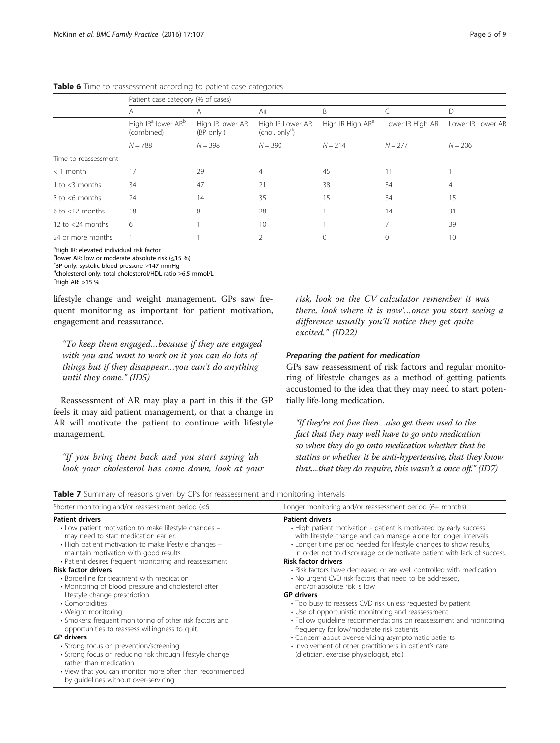|                      | Patient case category (% of cases)                       |                                           |                                                     |                              |                  |                   |
|----------------------|----------------------------------------------------------|-------------------------------------------|-----------------------------------------------------|------------------------------|------------------|-------------------|
|                      |                                                          | Ai                                        | Aii                                                 | <sub>B</sub>                 |                  | $\Box$            |
|                      | High IR <sup>a</sup> lower AR <sup>b</sup><br>(combined) | High IR lower AR<br>$(BP \text{ only}^c)$ | High IR Lower AR<br>$($ chol. only <sup>d</sup> $)$ | High IR High AR <sup>e</sup> | Lower IR High AR | Lower IR Lower AR |
|                      | $N = 788$                                                | $N = 398$                                 | $N = 390$                                           | $N = 214$                    | $N = 277$        | $N = 206$         |
| Time to reassessment |                                                          |                                           |                                                     |                              |                  |                   |
| $<$ 1 month          | 17                                                       | 29                                        | 4                                                   | 45                           | 11               |                   |
| 1 to $<$ 3 months    | 34                                                       | 47                                        | 21                                                  | 38                           | 34               | 4                 |
| $3$ to $< 6$ months  | 24                                                       | 14                                        | 35                                                  | 15                           | 34               | 15                |
| $6$ to $<$ 12 months | 18                                                       | 8                                         | 28                                                  |                              | 14               | 31                |
| 12 to $<$ 24 months  | 6                                                        |                                           | 10                                                  |                              |                  | 39                |
| 24 or more months    |                                                          |                                           |                                                     | $\Omega$                     | Ω                | 10                |

<span id="page-5-0"></span>Table 6 Time to reassessment according to patient case categories

<sup>a</sup>High IR: elevated individual risk factor

<sup>b</sup>lower AR: low or moderate absolute risk (≤15 %)<br><sup>c</sup>PP only systelis blood pressure >147 mmHg

 ${}^{\text{c}}$ BP only: systolic blood pressure  $\geq$ 147 mmHg

<sup>d</sup>cholesterol only: total cholesterol/HDL ratio ≥6.5 mmol/L

lifestyle change and weight management. GPs saw frequent monitoring as important for patient motivation, engagement and reassurance.

"To keep them engaged…because if they are engaged with you and want to work on it you can do lots of things but if they disappear…you can't do anything until they come." (ID5)

Reassessment of AR may play a part in this if the GP feels it may aid patient management, or that a change in AR will motivate the patient to continue with lifestyle management.

"If you bring them back and you start saying 'ah look your cholesterol has come down, look at your risk, look on the CV calculator remember it was there, look where it is now'…once you start seeing a difference usually you'll notice they get quite excited." (ID22)

#### Preparing the patient for medication

GPs saw reassessment of risk factors and regular monitoring of lifestyle changes as a method of getting patients accustomed to the idea that they may need to start potentially life-long medication.

"If they're not fine then…also get them used to the fact that they may well have to go onto medication so when they do go onto medication whether that be statins or whether it be anti-hypertensive, that they know that....that they do require, this wasn't a once off."  $(ID7)$ 

**Table 7** Summary of reasons given by GPs for reassessment and monitoring intervals

| Shorter monitoring and/or reassessment period (<6                                                                                                                                                                                                                                                                                                                                                                                                                                                                                                                                                                                                                                                                                                                                                                                                                         | Longer monitoring and/or reassessment period (6+ months)                                                                                                                                                                                                                                                                                                                                                                                                                                                                                                                                                                                                                                                                                                                                                                                                                                                                                 |
|---------------------------------------------------------------------------------------------------------------------------------------------------------------------------------------------------------------------------------------------------------------------------------------------------------------------------------------------------------------------------------------------------------------------------------------------------------------------------------------------------------------------------------------------------------------------------------------------------------------------------------------------------------------------------------------------------------------------------------------------------------------------------------------------------------------------------------------------------------------------------|------------------------------------------------------------------------------------------------------------------------------------------------------------------------------------------------------------------------------------------------------------------------------------------------------------------------------------------------------------------------------------------------------------------------------------------------------------------------------------------------------------------------------------------------------------------------------------------------------------------------------------------------------------------------------------------------------------------------------------------------------------------------------------------------------------------------------------------------------------------------------------------------------------------------------------------|
| <b>Patient drivers</b><br>. Low patient motivation to make lifestyle changes -<br>may need to start medication earlier.<br>. High patient motivation to make lifestyle changes -<br>maintain motivation with good results.<br>• Patient desires frequent monitoring and reassessment<br><b>Risk factor drivers</b><br>• Borderline for treatment with medication<br>• Monitoring of blood pressure and cholesterol after<br>lifestyle change prescription<br>• Comorbidities<br>• Weight monitoring<br>• Smokers: frequent monitoring of other risk factors and<br>opportunities to reassess willingness to quit.<br><b>GP</b> drivers<br>• Strong focus on prevention/screening<br>· Strong focus on reducing risk through lifestyle change<br>rather than medication<br>• View that you can monitor more often than recommended<br>by quidelines without over-servicing | <b>Patient drivers</b><br>• High patient motivation - patient is motivated by early success<br>with lifestyle change and can manage alone for longer intervals.<br>• Longer time period needed for lifestyle changes to show results,<br>in order not to discourage or demotivate patient with lack of success.<br><b>Risk factor drivers</b><br>• Risk factors have decreased or are well controlled with medication<br>• No urgent CVD risk factors that need to be addressed,<br>and/or absolute risk is low<br><b>GP</b> drivers<br>• Too busy to reassess CVD risk unless requested by patient<br>• Use of opportunistic monitoring and reassessment<br>• Follow quideline recommendations on reassessment and monitoring<br>frequency for low/moderate risk patients<br>• Concern about over-servicing asymptomatic patients<br>· Involvement of other practitioners in patient's care<br>(dietician, exercise physiologist, etc.) |

 $\mathrm{^e}$ High AR: >15 %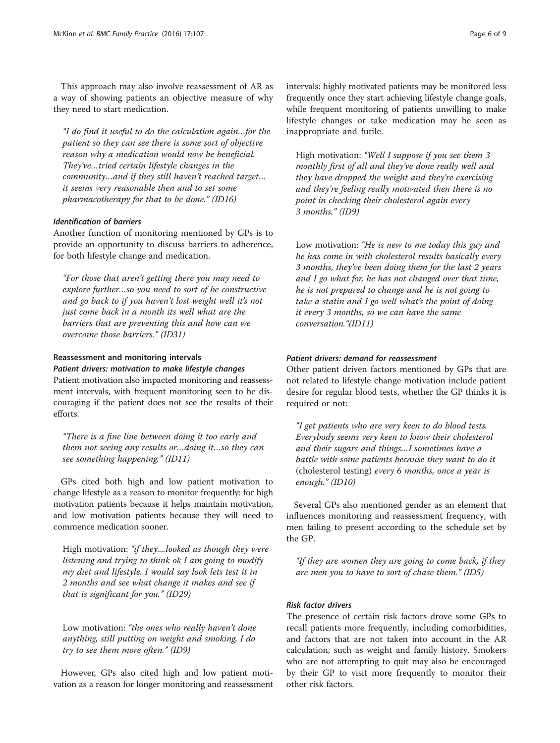This approach may also involve reassessment of AR as a way of showing patients an objective measure of why they need to start medication.

"I do find it useful to do the calculation again…for the patient so they can see there is some sort of objective reason why a medication would now be beneficial. They've…tried certain lifestyle changes in the community…and if they still haven't reached target… it seems very reasonable then and to set some pharmacotherapy for that to be done." (ID16)

#### Identification of barriers

Another function of monitoring mentioned by GPs is to provide an opportunity to discuss barriers to adherence, for both lifestyle change and medication.

"For those that aren't getting there you may need to explore further…so you need to sort of be constructive and go back to if you haven't lost weight well it's not just come back in a month its well what are the barriers that are preventing this and how can we overcome those barriers." (ID31)

## Reassessment and monitoring intervals

Patient drivers: motivation to make lifestyle changes Patient motivation also impacted monitoring and reassessment intervals, with frequent monitoring seen to be discouraging if the patient does not see the results of their efforts.

"There is a fine line between doing it too early and them not seeing any results or…doing it…so they can see something happening." (ID11)

GPs cited both high and low patient motivation to change lifestyle as a reason to monitor frequently: for high motivation patients because it helps maintain motivation, and low motivation patients because they will need to commence medication sooner.

High motivation: "if they....looked as though they were listening and trying to think ok I am going to modify my diet and lifestyle. I would say look lets test it in 2 months and see what change it makes and see if that is significant for you." (ID29)

Low motivation: "the ones who really haven't done anything, still putting on weight and smoking, I do try to see them more often." (ID9)

However, GPs also cited high and low patient motivation as a reason for longer monitoring and reassessment

intervals: highly motivated patients may be monitored less frequently once they start achieving lifestyle change goals, while frequent monitoring of patients unwilling to make lifestyle changes or take medication may be seen as inappropriate and futile.

High motivation: "Well I suppose if you see them 3 monthly first of all and they've done really well and they have dropped the weight and they're exercising and they're feeling really motivated then there is no point in checking their cholesterol again every 3 months." (ID9)

Low motivation: "He is new to me today this guy and he has come in with cholesterol results basically every 3 months, they've been doing them for the last 2 years and I go what for, he has not changed over that time, he is not prepared to change and he is not going to take a statin and I go well what's the point of doing it every 3 months, so we can have the same conversation."(ID11)

#### Patient drivers: demand for reassessment

Other patient driven factors mentioned by GPs that are not related to lifestyle change motivation include patient desire for regular blood tests, whether the GP thinks it is required or not:

"I get patients who are very keen to do blood tests. Everybody seems very keen to know their cholesterol and their sugars and things…I sometimes have a battle with some patients because they want to do it (cholesterol testing) every 6 months, once a year is enough." (ID10)

Several GPs also mentioned gender as an element that influences monitoring and reassessment frequency, with men failing to present according to the schedule set by the GP.

"If they are women they are going to come back, if they are men you to have to sort of chase them." (ID5)

## Risk factor drivers

The presence of certain risk factors drove some GPs to recall patients more frequently, including comorbidities, and factors that are not taken into account in the AR calculation, such as weight and family history. Smokers who are not attempting to quit may also be encouraged by their GP to visit more frequently to monitor their other risk factors.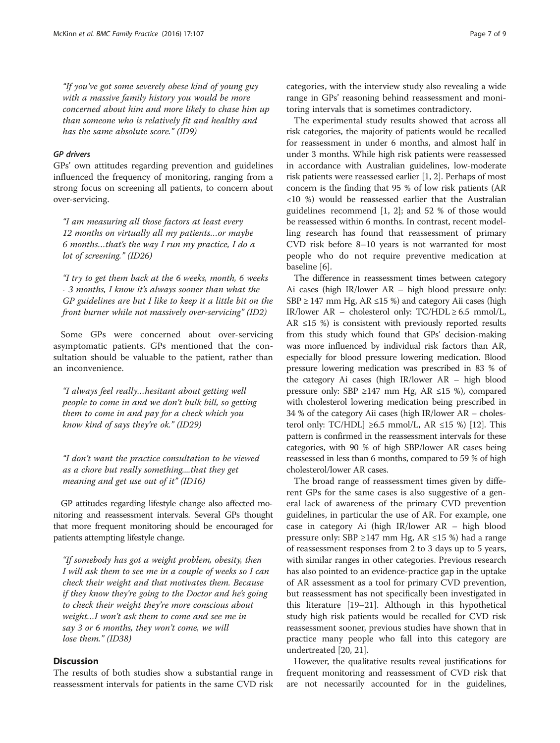"If you've got some severely obese kind of young guy with a massive family history you would be more concerned about him and more likely to chase him up than someone who is relatively fit and healthy and has the same absolute score." (ID9)

## GP drivers

GPs' own attitudes regarding prevention and guidelines influenced the frequency of monitoring, ranging from a strong focus on screening all patients, to concern about over-servicing.

"I am measuring all those factors at least every 12 months on virtually all my patients…or maybe 6 months…that's the way I run my practice, I do a lot of screening." (ID26)

"I try to get them back at the 6 weeks, month, 6 weeks - 3 months, I know it's always sooner than what the GP guidelines are but I like to keep it a little bit on the front burner while not massively over-servicing" (ID2)

Some GPs were concerned about over-servicing asymptomatic patients. GPs mentioned that the consultation should be valuable to the patient, rather than an inconvenience.

"I always feel really…hesitant about getting well people to come in and we don't bulk bill, so getting them to come in and pay for a check which you know kind of says they're ok." (ID29)

"I don't want the practice consultation to be viewed as a chore but really something....that they get meaning and get use out of it" (ID16)

GP attitudes regarding lifestyle change also affected monitoring and reassessment intervals. Several GPs thought that more frequent monitoring should be encouraged for patients attempting lifestyle change.

"If somebody has got a weight problem, obesity, then I will ask them to see me in a couple of weeks so I can check their weight and that motivates them. Because if they know they're going to the Doctor and he's going to check their weight they're more conscious about weight…I won't ask them to come and see me in say 3 or 6 months, they won't come, we will lose them." (ID38)

## **Discussion**

The results of both studies show a substantial range in reassessment intervals for patients in the same CVD risk categories, with the interview study also revealing a wide range in GPs' reasoning behind reassessment and monitoring intervals that is sometimes contradictory.

The experimental study results showed that across all risk categories, the majority of patients would be recalled for reassessment in under 6 months, and almost half in under 3 months. While high risk patients were reassessed in accordance with Australian guidelines, low-moderate risk patients were reassessed earlier [[1, 2](#page-9-0)]. Perhaps of most concern is the finding that 95 % of low risk patients (AR <10 %) would be reassessed earlier that the Australian guidelines recommend [[1, 2\]](#page-9-0); and 52 % of those would be reassessed within 6 months. In contrast, recent modelling research has found that reassessment of primary CVD risk before 8–10 years is not warranted for most people who do not require preventive medication at baseline [\[6\]](#page-9-0).

The difference in reassessment times between category Ai cases (high IR/lower AR – high blood pressure only:  $SBP \ge 147$  mm Hg, AR ≤15 %) and category Aii cases (high IR/lower AR – cholesterol only:  $TC/HDL \ge 6.5$  mmol/L, AR  $\leq$ 15 %) is consistent with previously reported results from this study which found that GPs' decision-making was more influenced by individual risk factors than AR, especially for blood pressure lowering medication. Blood pressure lowering medication was prescribed in 83 % of the category Ai cases (high IR/lower AR – high blood pressure only: SBP ≥147 mm Hg, AR ≤15 %), compared with cholesterol lowering medication being prescribed in 34 % of the category Aii cases (high IR/lower AR – choles-terol only: TC/HDL] ≥6.5 mmol/L, AR ≤15 %) [[12](#page-9-0)]. This pattern is confirmed in the reassessment intervals for these categories, with 90 % of high SBP/lower AR cases being reassessed in less than 6 months, compared to 59 % of high cholesterol/lower AR cases.

The broad range of reassessment times given by different GPs for the same cases is also suggestive of a general lack of awareness of the primary CVD prevention guidelines, in particular the use of AR. For example, one case in category Ai (high IR/lower AR – high blood pressure only: SBP ≥147 mm Hg, AR ≤15 %) had a range of reassessment responses from 2 to 3 days up to 5 years, with similar ranges in other categories. Previous research has also pointed to an evidence-practice gap in the uptake of AR assessment as a tool for primary CVD prevention, but reassessment has not specifically been investigated in this literature [\[19](#page-9-0)–[21\]](#page-9-0). Although in this hypothetical study high risk patients would be recalled for CVD risk reassessment sooner, previous studies have shown that in practice many people who fall into this category are undertreated [\[20](#page-9-0), [21\]](#page-9-0).

However, the qualitative results reveal justifications for frequent monitoring and reassessment of CVD risk that are not necessarily accounted for in the guidelines,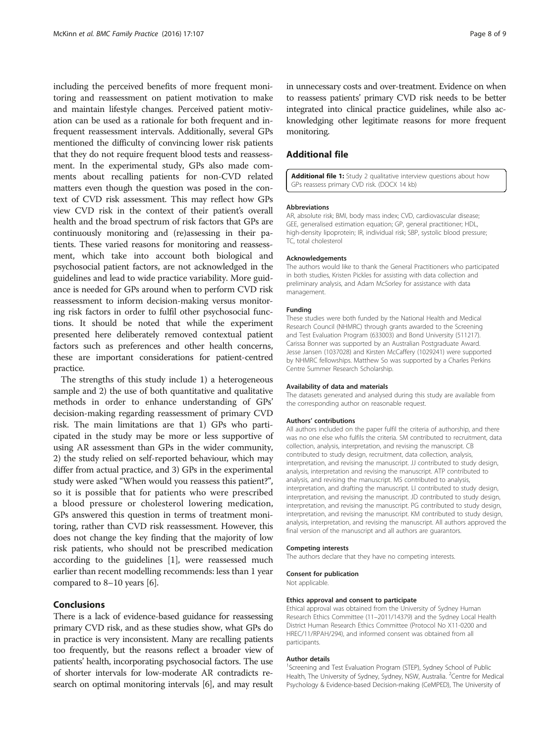<span id="page-8-0"></span>including the perceived benefits of more frequent monitoring and reassessment on patient motivation to make and maintain lifestyle changes. Perceived patient motivation can be used as a rationale for both frequent and infrequent reassessment intervals. Additionally, several GPs mentioned the difficulty of convincing lower risk patients that they do not require frequent blood tests and reassessment. In the experimental study, GPs also made comments about recalling patients for non-CVD related matters even though the question was posed in the context of CVD risk assessment. This may reflect how GPs view CVD risk in the context of their patient's overall health and the broad spectrum of risk factors that GPs are continuously monitoring and (re)assessing in their patients. These varied reasons for monitoring and reassessment, which take into account both biological and psychosocial patient factors, are not acknowledged in the guidelines and lead to wide practice variability. More guidance is needed for GPs around when to perform CVD risk reassessment to inform decision-making versus monitoring risk factors in order to fulfil other psychosocial functions. It should be noted that while the experiment presented here deliberately removed contextual patient factors such as preferences and other health concerns, these are important considerations for patient-centred practice.

The strengths of this study include 1) a heterogeneous sample and 2) the use of both quantitative and qualitative methods in order to enhance understanding of GPs' decision-making regarding reassessment of primary CVD risk. The main limitations are that 1) GPs who participated in the study may be more or less supportive of using AR assessment than GPs in the wider community, 2) the study relied on self-reported behaviour, which may differ from actual practice, and 3) GPs in the experimental study were asked "When would you reassess this patient?", so it is possible that for patients who were prescribed a blood pressure or cholesterol lowering medication, GPs answered this question in terms of treatment monitoring, rather than CVD risk reassessment. However, this does not change the key finding that the majority of low risk patients, who should not be prescribed medication according to the guidelines [\[1](#page-9-0)], were reassessed much earlier than recent modelling recommends: less than 1 year compared to 8–10 years [[6\]](#page-9-0).

## Conclusions

There is a lack of evidence-based guidance for reassessing primary CVD risk, and as these studies show, what GPs do in practice is very inconsistent. Many are recalling patients too frequently, but the reasons reflect a broader view of patients' health, incorporating psychosocial factors. The use of shorter intervals for low-moderate AR contradicts research on optimal monitoring intervals [\[6\]](#page-9-0), and may result in unnecessary costs and over-treatment. Evidence on when to reassess patients' primary CVD risk needs to be better integrated into clinical practice guidelines, while also acknowledging other legitimate reasons for more frequent monitoring.

## Additional file

[Additional file 1:](dx.doi.org/10.1186/s12875-016-0499-7) Study 2 qualitative interview questions about how GPs reassess primary CVD risk. (DOCX 14 kb)

#### Abbreviations

AR, absolute risk; BMI, body mass index; CVD, cardiovascular disease; GEE, generalised estimation equation; GP, general practitioner; HDL, high-density lipoprotein; IR, individual risk; SBP, systolic blood pressure; TC, total cholesterol

#### Acknowledgements

The authors would like to thank the General Practitioners who participated in both studies, Kristen Pickles for assisting with data collection and preliminary analysis, and Adam McSorley for assistance with data management.

#### Funding

These studies were both funded by the National Health and Medical Research Council (NHMRC) through grants awarded to the Screening and Test Evaluation Program (633003) and Bond University (511217). Carissa Bonner was supported by an Australian Postgraduate Award. Jesse Jansen (1037028) and Kirsten McCaffery (1029241) were supported by NHMRC fellowships. Matthew So was supported by a Charles Perkins Centre Summer Research Scholarship.

#### Availability of data and materials

The datasets generated and analysed during this study are available from the corresponding author on reasonable request.

#### Authors' contributions

All authors included on the paper fulfil the criteria of authorship, and there was no one else who fulfils the criteria. SM contributed to recruitment, data collection, analysis, interpretation, and revising the manuscript. CB contributed to study design, recruitment, data collection, analysis, interpretation, and revising the manuscript. JJ contributed to study design, analysis, interpretation and revising the manuscript. ATP contributed to analysis, and revising the manuscript. MS contributed to analysis, interpretation, and drafting the manuscript. LI contributed to study design, interpretation, and revising the manuscript. JD contributed to study design, interpretation, and revising the manuscript. PG contributed to study design, interpretation, and revising the manuscript. KM contributed to study design, analysis, interpretation, and revising the manuscript. All authors approved the final version of the manuscript and all authors are guarantors.

#### Competing interests

The authors declare that they have no competing interests.

#### Consent for publication

Not applicable.

#### Ethics approval and consent to participate

Ethical approval was obtained from the University of Sydney Human Research Ethics Committee (11–2011/14379) and the Sydney Local Health District Human Research Ethics Committee (Protocol No X11-0200 and HREC/11/RPAH/294), and informed consent was obtained from all participants.

#### Author details

<sup>1</sup>Screening and Test Evaluation Program (STEP), Sydney School of Public Health, The University of Sydney, Sydney, NSW, Australia. <sup>2</sup>Centre for Medical Psychology & Evidence-based Decision-making (CeMPED), The University of